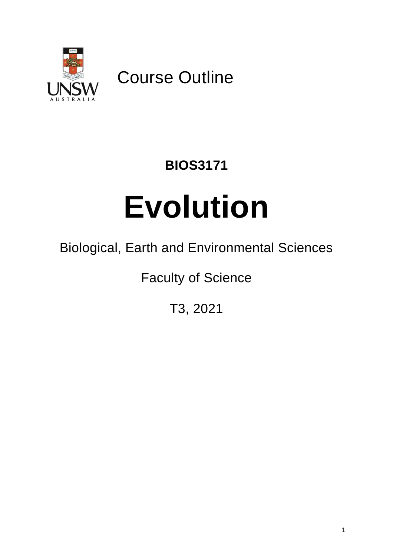

Course Outline

# **BIOS3171**

# **Evolution**

# Biological, Earth and Environmental Sciences

Faculty of Science

T3, 2021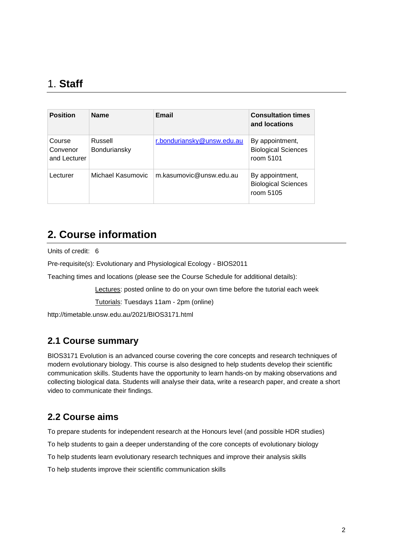#### 1. **Staff**

| <b>Position</b>                    | <b>Name</b>             | <b>Email</b>               | <b>Consultation times</b><br>and locations                 |
|------------------------------------|-------------------------|----------------------------|------------------------------------------------------------|
| Course<br>Convenor<br>and Lecturer | Russell<br>Bonduriansky | r.bonduriansky@unsw.edu.au | By appointment,<br><b>Biological Sciences</b><br>room 5101 |
| Lecturer                           | Michael Kasumovic       | m.kasumovic@unsw.edu.au    | By appointment,<br><b>Biological Sciences</b><br>room 5105 |

#### **2. Course information**

Units of credit: 6

Pre-requisite(s): Evolutionary and Physiological Ecology - BIOS2011

Teaching times and locations (please see the Course Schedule for additional details):

Lectures: posted online to do on your own time before the tutorial each week

Tutorials: Tuesdays 11am - 2pm (online)

http://timetable.unsw.edu.au/2021/BIOS3171.html

#### **2.1 Course summary**

BIOS3171 Evolution is an advanced course covering the core concepts and research techniques of modern evolutionary biology. This course is also designed to help students develop their scientific communication skills. Students have the opportunity to learn hands-on by making observations and collecting biological data. Students will analyse their data, write a research paper, and create a short video to communicate their findings.

#### **2.2 Course aims**

To prepare students for independent research at the Honours level (and possible HDR studies)

To help students to gain a deeper understanding of the core concepts of evolutionary biology

To help students learn evolutionary research techniques and improve their analysis skills

To help students improve their scientific communication skills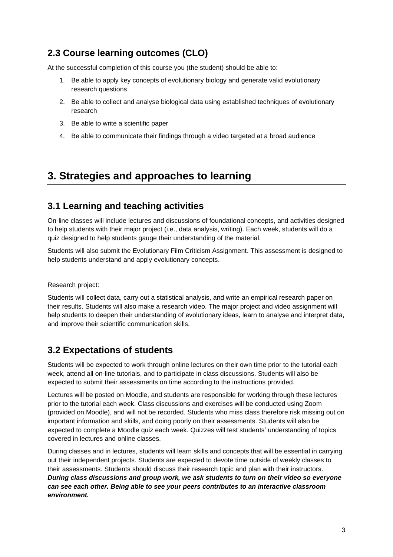#### **2.3 Course learning outcomes (CLO)**

At the successful completion of this course you (the student) should be able to:

- 1. Be able to apply key concepts of evolutionary biology and generate valid evolutionary research questions
- 2. Be able to collect and analyse biological data using established techniques of evolutionary research
- 3. Be able to write a scientific paper
- 4. Be able to communicate their findings through a video targeted at a broad audience

#### **3. Strategies and approaches to learning**

#### **3.1 Learning and teaching activities**

On-line classes will include lectures and discussions of foundational concepts, and activities designed to help students with their major project (i.e., data analysis, writing). Each week, students will do a quiz designed to help students gauge their understanding of the material.

Students will also submit the Evolutionary Film Criticism Assignment. This assessment is designed to help students understand and apply evolutionary concepts.

Research project:

Students will collect data, carry out a statistical analysis, and write an empirical research paper on their results. Students will also make a research video. The major project and video assignment will help students to deepen their understanding of evolutionary ideas, learn to analyse and interpret data, and improve their scientific communication skills.

#### **3.2 Expectations of students**

Students will be expected to work through online lectures on their own time prior to the tutorial each week, attend all on-line tutorials, and to participate in class discussions. Students will also be expected to submit their assessments on time according to the instructions provided.

Lectures will be posted on Moodle, and students are responsible for working through these lectures prior to the tutorial each week. Class discussions and exercises will be conducted using Zoom (provided on Moodle), and will not be recorded. Students who miss class therefore risk missing out on important information and skills, and doing poorly on their assessments. Students will also be expected to complete a Moodle quiz each week. Quizzes will test students' understanding of topics covered in lectures and online classes.

During classes and in lectures, students will learn skills and concepts that will be essential in carrying out their independent projects. Students are expected to devote time outside of weekly classes to their assessments. Students should discuss their research topic and plan with their instructors. *During class discussions and group work, we ask students to turn on their video so everyone can see each other. Being able to see your peers contributes to an interactive classroom environment.*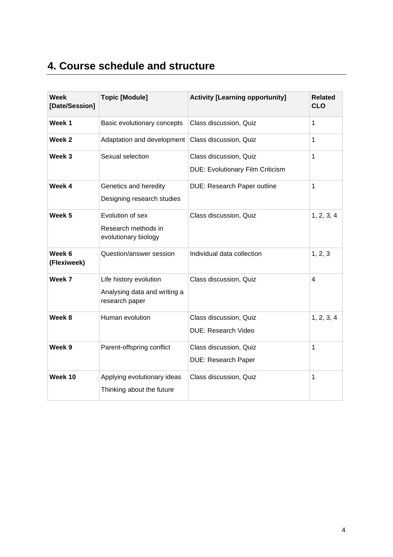# **4. Course schedule and structure**

| <b>Week</b><br>[Date/Session] | <b>Topic [Module]</b>                                                    | <b>Activity [Learning opportunity]</b>                            | <b>Related</b><br><b>CLO</b> |
|-------------------------------|--------------------------------------------------------------------------|-------------------------------------------------------------------|------------------------------|
| Week 1                        | Basic evolutionary concepts                                              | Class discussion, Quiz                                            | $\mathbf{1}$                 |
| Week 2                        | Adaptation and development                                               | Class discussion, Quiz                                            | $\mathbf{1}$                 |
| Week 3                        | Sexual selection                                                         | Class discussion, Quiz<br><b>DUE: Evolutionary Film Criticism</b> | $\mathbf{1}$                 |
| Week 4                        | Genetics and heredity<br>Designing research studies                      | DUE: Research Paper outline                                       | $\mathbf{1}$                 |
| Week <sub>5</sub>             | Evolution of sex<br>Research methods in<br>evolutionary biology          | Class discussion, Quiz                                            | 1, 2, 3, 4                   |
| Week 6<br>(Flexiweek)         | Question/answer session                                                  | Individual data collection                                        | 1, 2, 3                      |
| Week 7                        | Life history evolution<br>Analysing data and writing a<br>research paper | Class discussion, Quiz                                            | $\overline{4}$               |
| Week 8                        | Human evolution                                                          | Class discussion, Quiz<br><b>DUE: Research Video</b>              | 1, 2, 3, 4                   |
| Week 9                        | Parent-offspring conflict                                                | Class discussion, Quiz<br><b>DUE: Research Paper</b>              | $\mathbf{1}$                 |
| Week 10                       | Applying evolutionary ideas<br>Thinking about the future                 | Class discussion, Quiz                                            | 1                            |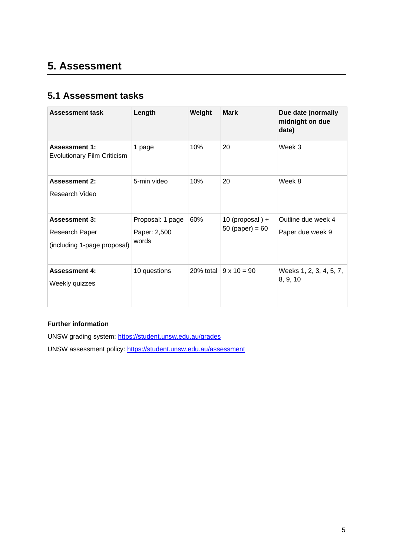# **5. Assessment**

#### **5.1 Assessment tasks**

| <b>Assessment task</b>                                                | Length                                    | Weight    | <b>Mark</b>                          | Due date (normally<br>midnight on due<br>date) |
|-----------------------------------------------------------------------|-------------------------------------------|-----------|--------------------------------------|------------------------------------------------|
| <b>Assessment 1:</b><br><b>Evolutionary Film Criticism</b>            | 1 page                                    | 10%       | 20                                   | Week 3                                         |
| <b>Assessment 2:</b><br>Research Video                                | 5-min video                               | 10%       | 20                                   | Week 8                                         |
| <b>Assessment 3:</b><br>Research Paper<br>(including 1-page proposal) | Proposal: 1 page<br>Paper: 2,500<br>words | 60%       | 10 (proposal) +<br>50 (paper) = $60$ | Outline due week 4<br>Paper due week 9         |
| <b>Assessment 4:</b><br>Weekly quizzes                                | 10 questions                              | 20% total | $9 \times 10 = 90$                   | Weeks 1, 2, 3, 4, 5, 7,<br>8, 9, 10            |

#### **Further information**

UNSW grading system:<https://student.unsw.edu.au/grades>

UNSW assessment policy:<https://student.unsw.edu.au/assessment>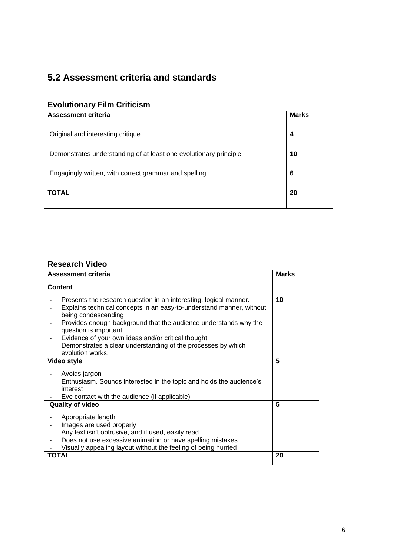#### **5.2 Assessment criteria and standards**

#### **Evolutionary Film Criticism**

| Assessment criteria                                               | <b>Marks</b> |
|-------------------------------------------------------------------|--------------|
|                                                                   |              |
| Original and interesting critique                                 | 4            |
| Demonstrates understanding of at least one evolutionary principle | 10           |
| Engagingly written, with correct grammar and spelling             | 6            |
| <b>TOTAL</b>                                                      | 20           |

#### **Research Video**

| Assessment criteria                                                                                                                                                                                                                                                                                                                                                                                      | Marks |
|----------------------------------------------------------------------------------------------------------------------------------------------------------------------------------------------------------------------------------------------------------------------------------------------------------------------------------------------------------------------------------------------------------|-------|
| <b>Content</b>                                                                                                                                                                                                                                                                                                                                                                                           |       |
| Presents the research question in an interesting, logical manner.<br>Explains technical concepts in an easy-to-understand manner, without<br>being condescending<br>Provides enough background that the audience understands why the<br>question is important.<br>Evidence of your own ideas and/or critical thought<br>Demonstrates a clear understanding of the processes by which<br>evolution works. | 10    |
| Video style                                                                                                                                                                                                                                                                                                                                                                                              | 5     |
| Avoids jargon<br>Enthusiasm. Sounds interested in the topic and holds the audience's<br>interest<br>Eye contact with the audience (if applicable)                                                                                                                                                                                                                                                        |       |
| <b>Quality of video</b>                                                                                                                                                                                                                                                                                                                                                                                  | 5     |
| Appropriate length<br>Images are used properly<br>Any text isn't obtrusive, and if used, easily read<br>Does not use excessive animation or have spelling mistakes<br>Visually appealing layout without the feeling of being hurried                                                                                                                                                                     |       |
| <b>TOTAL</b>                                                                                                                                                                                                                                                                                                                                                                                             | 20    |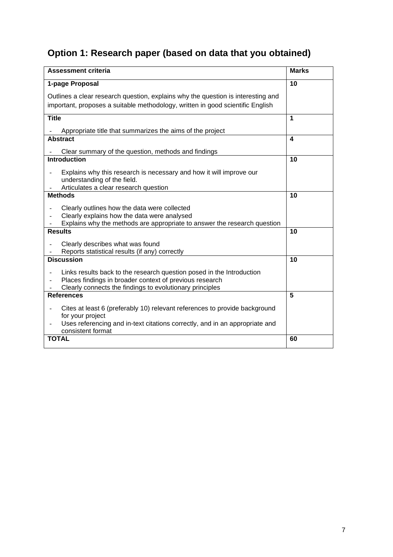# **Option 1: Research paper (based on data that you obtained)**

| <b>Assessment criteria</b>                                                                                                                                                                         | <b>Marks</b> |
|----------------------------------------------------------------------------------------------------------------------------------------------------------------------------------------------------|--------------|
| 1-page Proposal                                                                                                                                                                                    | 10           |
| Outlines a clear research question, explains why the question is interesting and                                                                                                                   |              |
| important, proposes a suitable methodology, written in good scientific English                                                                                                                     |              |
| <b>Title</b>                                                                                                                                                                                       | 1            |
| Appropriate title that summarizes the aims of the project                                                                                                                                          |              |
| <b>Abstract</b>                                                                                                                                                                                    | 4            |
| Clear summary of the question, methods and findings                                                                                                                                                |              |
| <b>Introduction</b>                                                                                                                                                                                | 10           |
| Explains why this research is necessary and how it will improve our<br>understanding of the field.                                                                                                 |              |
| Articulates a clear research question                                                                                                                                                              |              |
| <b>Methods</b>                                                                                                                                                                                     | 10           |
| Clearly outlines how the data were collected<br>$\overline{\phantom{a}}$                                                                                                                           |              |
| Clearly explains how the data were analysed<br>Explains why the methods are appropriate to answer the research question                                                                            |              |
| <b>Results</b>                                                                                                                                                                                     | 10           |
|                                                                                                                                                                                                    |              |
| Clearly describes what was found<br>Reports statistical results (if any) correctly                                                                                                                 |              |
| <b>Discussion</b>                                                                                                                                                                                  | 10           |
| Links results back to the research question posed in the Introduction<br>Places findings in broader context of previous research<br>Clearly connects the findings to evolutionary principles       |              |
| <b>References</b>                                                                                                                                                                                  | 5            |
| Cites at least 6 (preferably 10) relevant references to provide background<br>for your project<br>Uses referencing and in-text citations correctly, and in an appropriate and<br>consistent format |              |
| <b>TOTAL</b>                                                                                                                                                                                       | 60           |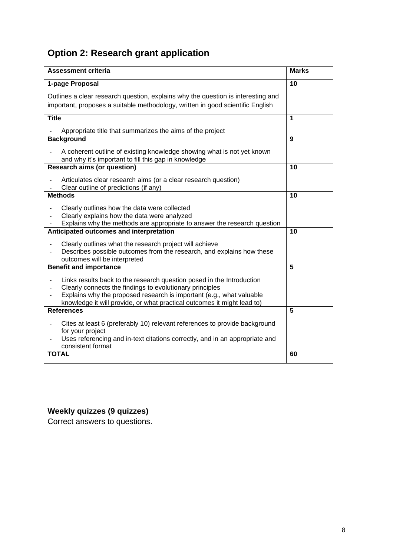# **Option 2: Research grant application**

| <b>Assessment criteria</b>                                                                                                                                                                                                                                                                                                                   | <b>Marks</b>            |
|----------------------------------------------------------------------------------------------------------------------------------------------------------------------------------------------------------------------------------------------------------------------------------------------------------------------------------------------|-------------------------|
| 1-page Proposal                                                                                                                                                                                                                                                                                                                              | 10                      |
| Outlines a clear research question, explains why the question is interesting and<br>important, proposes a suitable methodology, written in good scientific English                                                                                                                                                                           |                         |
| <b>Title</b>                                                                                                                                                                                                                                                                                                                                 | 1                       |
| Appropriate title that summarizes the aims of the project                                                                                                                                                                                                                                                                                    |                         |
| <b>Background</b>                                                                                                                                                                                                                                                                                                                            | 9                       |
| A coherent outline of existing knowledge showing what is not yet known<br>and why it's important to fill this gap in knowledge                                                                                                                                                                                                               |                         |
| <b>Research aims (or question)</b>                                                                                                                                                                                                                                                                                                           | 10                      |
| Articulates clear research aims (or a clear research question)<br>Clear outline of predictions (if any)                                                                                                                                                                                                                                      |                         |
| <b>Methods</b>                                                                                                                                                                                                                                                                                                                               | 10                      |
| Clearly outlines how the data were collected<br>$\overline{\phantom{a}}$<br>Clearly explains how the data were analyzed<br>Explains why the methods are appropriate to answer the research question                                                                                                                                          |                         |
| Anticipated outcomes and interpretation                                                                                                                                                                                                                                                                                                      | 10                      |
| Clearly outlines what the research project will achieve<br>$\blacksquare$<br>Describes possible outcomes from the research, and explains how these<br>outcomes will be interpreted                                                                                                                                                           |                         |
| <b>Benefit and importance</b>                                                                                                                                                                                                                                                                                                                | $\overline{\mathbf{5}}$ |
| Links results back to the research question posed in the Introduction<br>$\overline{\phantom{a}}$<br>Clearly connects the findings to evolutionary principles<br>$\overline{\phantom{a}}$<br>Explains why the proposed research is important (e.g., what valuable<br>knowledge it will provide, or what practical outcomes it might lead to) |                         |
| <b>References</b>                                                                                                                                                                                                                                                                                                                            | 5                       |
| Cites at least 6 (preferably 10) relevant references to provide background<br>$\blacksquare$<br>for your project<br>Uses referencing and in-text citations correctly, and in an appropriate and<br>$\overline{\phantom{a}}$<br>consistent format                                                                                             |                         |
| <b>TOTAL</b>                                                                                                                                                                                                                                                                                                                                 | 60                      |

### **Weekly quizzes (9 quizzes)**

Correct answers to questions.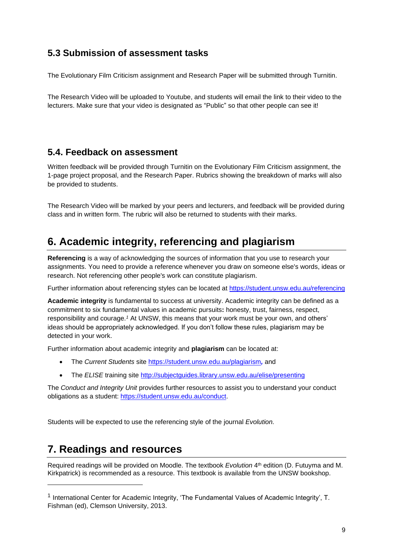#### **5.3 Submission of assessment tasks**

The Evolutionary Film Criticism assignment and Research Paper will be submitted through Turnitin.

The Research Video will be uploaded to Youtube, and students will email the link to their video to the lecturers. Make sure that your video is designated as "Public" so that other people can see it!

#### **5.4. Feedback on assessment**

Written feedback will be provided through Turnitin on the Evolutionary Film Criticism assignment, the 1-page project proposal, and the Research Paper. Rubrics showing the breakdown of marks will also be provided to students.

The Research Video will be marked by your peers and lecturers, and feedback will be provided during class and in written form. The rubric will also be returned to students with their marks.

# **6. Academic integrity, referencing and plagiarism**

**Referencing** is a way of acknowledging the sources of information that you use to research your assignments. You need to provide a reference whenever you draw on someone else's words, ideas or research. Not referencing other people's work can constitute plagiarism.

Further information about referencing styles can be located at <https://student.unsw.edu.au/referencing>

**Academic integrity** is fundamental to success at university. Academic integrity can be defined as a commitment to six fundamental values in academic pursuits**:** honesty, trust, fairness, respect, responsibility and courage.*<sup>1</sup>* At UNSW, this means that your work must be your own, and others' ideas should be appropriately acknowledged. If you don't follow these rules, plagiarism may be detected in your work.

Further information about academic integrity and **plagiarism** can be located at:

- The *Current Students* site <https://student.unsw.edu.au/plagiarism>*,* and
- The *ELISE* training site <http://subjectguides.library.unsw.edu.au/elise/presenting>

The *Conduct and Integrity Unit* provides further resources to assist you to understand your conduct obligations as a student: [https://student.unsw.edu.au/conduct.](https://student.unsw.edu.au/conduct)

Students will be expected to use the referencing style of the journal *Evolution.*

# **7. Readings and resources**

Required readings will be provided on Moodle. The textbook *Evolution* 4 th edition (D. Futuyma and M. Kirkpatrick) is recommended as a resource. This textbook is available from the UNSW bookshop.

<sup>&</sup>lt;sup>1</sup> International Center for Academic Integrity, 'The Fundamental Values of Academic Integrity', T. Fishman (ed), Clemson University, 2013.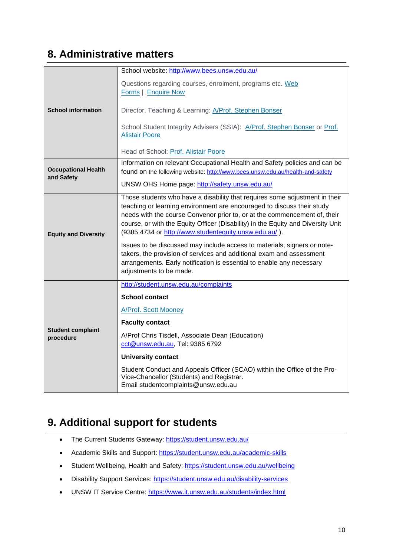#### **8. Administrative matters**

|                                          | School website: http://www.bees.unsw.edu.au/                                                                                                                                                                                                         |
|------------------------------------------|------------------------------------------------------------------------------------------------------------------------------------------------------------------------------------------------------------------------------------------------------|
|                                          | Questions regarding courses, enrolment, programs etc. Web<br>Forms   Enquire Now                                                                                                                                                                     |
| <b>School information</b>                | Director, Teaching & Learning: A/Prof. Stephen Bonser                                                                                                                                                                                                |
|                                          | School Student Integrity Advisers (SSIA): A/Prof. Stephen Bonser or Prof.<br><b>Alistair Poore</b>                                                                                                                                                   |
|                                          | Head of School: Prof. Alistair Poore                                                                                                                                                                                                                 |
| <b>Occupational Health</b><br>and Safety | Information on relevant Occupational Health and Safety policies and can be<br>found on the following website: http://www.bees.unsw.edu.au/health-and-safety                                                                                          |
|                                          | UNSW OHS Home page: http://safety.unsw.edu.au/                                                                                                                                                                                                       |
|                                          | Those students who have a disability that requires some adjustment in their<br>teaching or learning environment are encouraged to discuss their study                                                                                                |
| <b>Equity and Diversity</b>              | needs with the course Convenor prior to, or at the commencement of, their<br>course, or with the Equity Officer (Disability) in the Equity and Diversity Unit<br>(9385 4734 or http://www.studentequity.unsw.edu.au/).                               |
|                                          | Issues to be discussed may include access to materials, signers or note-<br>takers, the provision of services and additional exam and assessment<br>arrangements. Early notification is essential to enable any necessary<br>adjustments to be made. |
|                                          | http://student.unsw.edu.au/complaints                                                                                                                                                                                                                |
|                                          | <b>School contact</b>                                                                                                                                                                                                                                |
|                                          | A/Prof. Scott Mooney                                                                                                                                                                                                                                 |
| <b>Student complaint</b>                 | <b>Faculty contact</b>                                                                                                                                                                                                                               |
| procedure                                | A/Prof Chris Tisdell, Associate Dean (Education)<br>cct@unsw.edu.au, Tel: 9385 6792                                                                                                                                                                  |
|                                          | <b>University contact</b>                                                                                                                                                                                                                            |
|                                          | Student Conduct and Appeals Officer (SCAO) within the Office of the Pro-<br>Vice-Chancellor (Students) and Registrar.<br>Email studentcomplaints@unsw.edu.au                                                                                         |

# **9. Additional support for students**

- The Current Students Gateway:<https://student.unsw.edu.au/>
- Academic Skills and Support:<https://student.unsw.edu.au/academic-skills>
- Student Wellbeing, Health and Safety: <https://student.unsw.edu.au/wellbeing>
- Disability Support Services: <https://student.unsw.edu.au/disability-services>
- UNSW IT Service Centre:<https://www.it.unsw.edu.au/students/index.html>